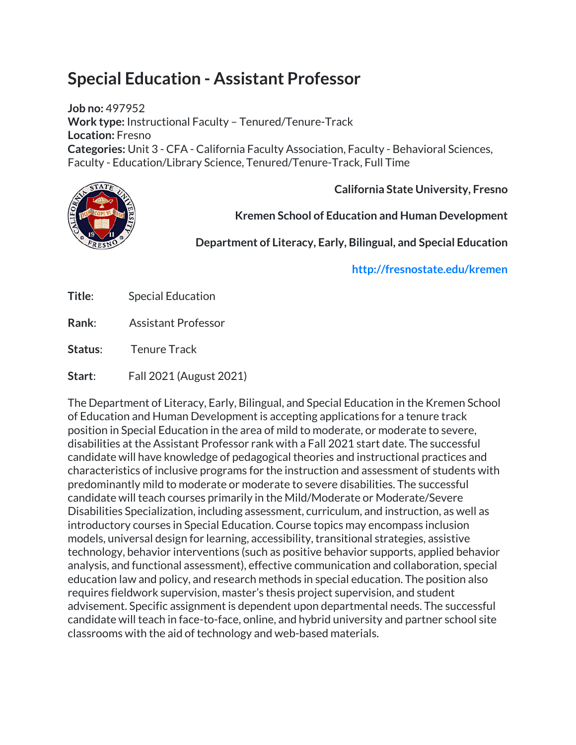# **Special Education - Assistant Professor**

**Job no:** 497952 **Work type:** Instructional Faculty – Tenured/Tenure-Track **Location:** Fresno **Categories:** Unit 3 - CFA - California Faculty Association, Faculty - Behavioral Sciences, Faculty - Education/Library Science, Tenured/Tenure-Track, Full Time



**California State University, Fresno**

**Kremen School of Education and Human Development**

**Department of Literacy, Early, Bilingual, and Special Education**

**<http://fresnostate.edu/kremen>**

| Title: | <b>Special Education</b>   |
|--------|----------------------------|
| Rank:  | <b>Assistant Professor</b> |

**Status**: Tenure Track

**Start**: Fall 2021 (August 2021)

The Department of Literacy, Early, Bilingual, and Special Education in the Kremen School of Education and Human Development is accepting applications for a tenure track position in Special Education in the area of mild to moderate, or moderate to severe, disabilities at the Assistant Professor rank with a Fall 2021 start date. The successful candidate will have knowledge of pedagogical theories and instructional practices and characteristics of inclusive programs for the instruction and assessment of students with predominantly mild to moderate or moderate to severe disabilities. The successful candidate will teach courses primarily in the Mild/Moderate or Moderate/Severe Disabilities Specialization, including assessment, curriculum, and instruction, as well as introductory courses in Special Education. Course topics may encompass inclusion models, universal design for learning, accessibility, transitional strategies, assistive technology, behavior interventions (such as positive behavior supports, applied behavior analysis, and functional assessment), effective communication and collaboration, special education law and policy, and research methods in special education. The position also requires fieldwork supervision, master's thesis project supervision, and student advisement. Specific assignment is dependent upon departmental needs. The successful candidate will teach in face-to-face, online, and hybrid university and partner school site classrooms with the aid of technology and web-based materials.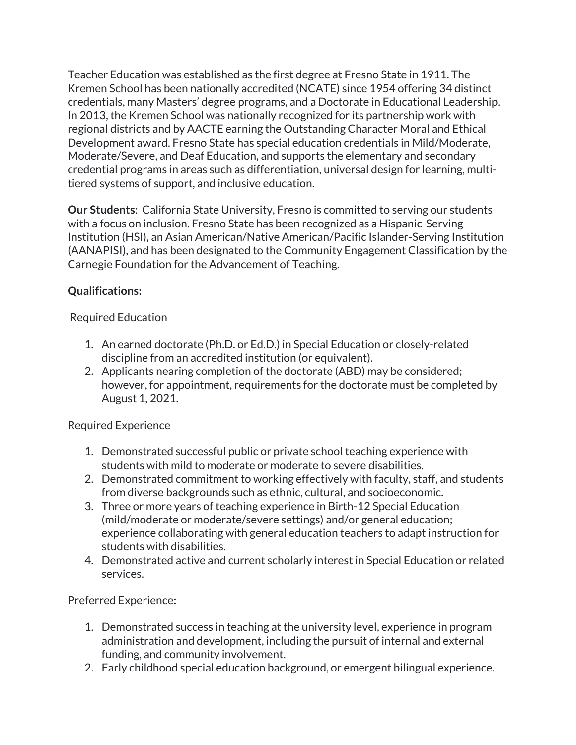Teacher Education was established as the first degree at Fresno State in 1911. The Kremen School has been nationally accredited (NCATE) since 1954 offering 34 distinct credentials, many Masters' degree programs, and a Doctorate in Educational Leadership. In 2013, the Kremen School was nationally recognized for its partnership work with regional districts and by AACTE earning the Outstanding Character Moral and Ethical Development award. Fresno State has special education credentials in Mild/Moderate, Moderate/Severe, and Deaf Education, and supports the elementary and secondary credential programs in areas such as differentiation, universal design for learning, multitiered systems of support, and inclusive education.

**Our Students**: California State University, Fresno is committed to serving our students with a focus on inclusion. Fresno State has been recognized as a Hispanic-Serving Institution (HSI), an Asian American/Native American/Pacific Islander-Serving Institution (AANAPISI), and has been designated to the Community Engagement Classification by the Carnegie Foundation for the Advancement of Teaching.

# **Qualifications:**

# Required Education

- 1. An earned doctorate (Ph.D. or Ed.D.) in Special Education or closely-related discipline from an accredited institution (or equivalent).
- 2. Applicants nearing completion of the doctorate (ABD) may be considered; however, for appointment, requirements for the doctorate must be completed by August 1, 2021.

# Required Experience

- 1. Demonstrated successful public or private school teaching experience with students with mild to moderate or moderate to severe disabilities.
- 2. Demonstrated commitment to working effectively with faculty, staff, and students from diverse backgrounds such as ethnic, cultural, and socioeconomic.
- 3. Three or more years of teaching experience in Birth-12 Special Education (mild/moderate or moderate/severe settings) and/or general education; experience collaborating with general education teachers to adapt instruction for students with disabilities.
- 4. Demonstrated active and current scholarly interest in Special Education or related services.

# Preferred Experience**:**

- 1. Demonstrated success in teaching at the university level, experience in program administration and development, including the pursuit of internal and external funding, and community involvement.
- 2. Early childhood special education background, or emergent bilingual experience.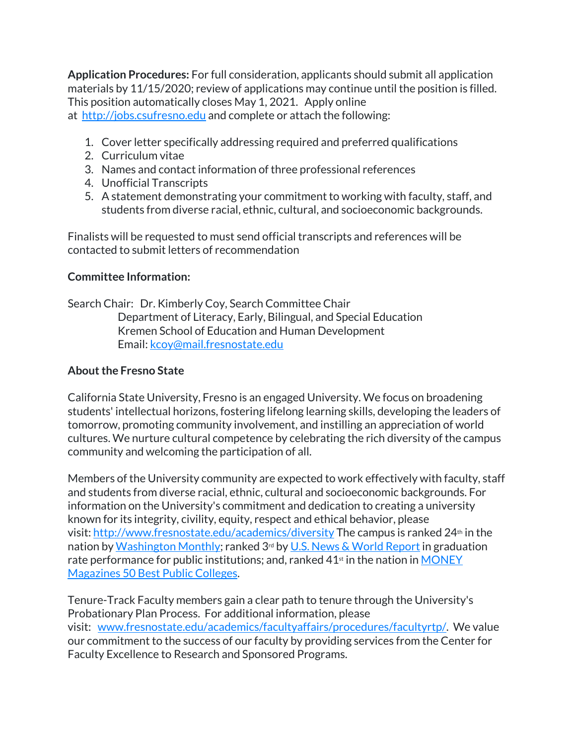**Application Procedures:** For full consideration, applicants should submit all application materials by 11/15/2020; review of applications may continue until the position is filled. This position automatically closes May 1, 2021. Apply online at [http://jobs.csufresno.edu](http://jobs.csufresno.edu/) and complete or attach the following:

- 1. Cover letter specifically addressing required and preferred qualifications
- 2. Curriculum vitae
- 3. Names and contact information of three professional references
- 4. Unofficial Transcripts
- 5. A statement demonstrating your commitment to working with faculty, staff, and students from diverse racial, ethnic, cultural, and socioeconomic backgrounds.

Finalists will be requested to must send official transcripts and references will be contacted to submit letters of recommendation

## **Committee Information:**

Search Chair: Dr. Kimberly Coy, Search Committee Chair Department of Literacy, Early, Bilingual, and Special Education Kremen School of Education and Human Development Email: [kcoy@mail.fresnostate.edu](mailto:kcoy@mail.fresnostate.edu)

## **About the Fresno State**

California State University, Fresno is an engaged University. We focus on broadening students' intellectual horizons, fostering lifelong learning skills, developing the leaders of tomorrow, promoting community involvement, and instilling an appreciation of world cultures. We nurture cultural competence by celebrating the rich diversity of the campus community and welcoming the participation of all.

Members of the University community are expected to work effectively with faculty, staff and students from diverse racial, ethnic, cultural and socioeconomic backgrounds. For information on the University's commitment and dedication to creating a university known for its integrity, civility, equity, respect and ethical behavior, please visit: <http://www.fresnostate.edu/academics/diversity> The campus is ranked 24<sup>th</sup> in the nation by [Washington Monthly;](https://washingtonmonthly.com/2018college-guide?ranking=2018-rankings-national-universities) ranked 3rd by [U.S. News & World Report](https://www.usnews.com/best-colleges/rankings/national-universities) in graduation rate performance for public institutions; and, ranked  $41<sup>st</sup>$  in the nation in [MONEY](http://time.com/money/best-colleges/profile/california-state-university-fresno/) [Magazines 50 Best Public Colleges.](http://time.com/money/best-colleges/profile/california-state-university-fresno/)

Tenure-Track Faculty members gain a clear path to tenure through the University's Probationary Plan Process. For additional information, please visit: [www.fresnostate.edu/academics/facultyaffairs/procedures/facultyrtp/.](http://www.fresnostate.edu/academics/facultyaffairs/procedures/facultyrtp/) We value our commitment to the success of our faculty by providing services from the Center for Faculty Excellence to Research and Sponsored Programs.